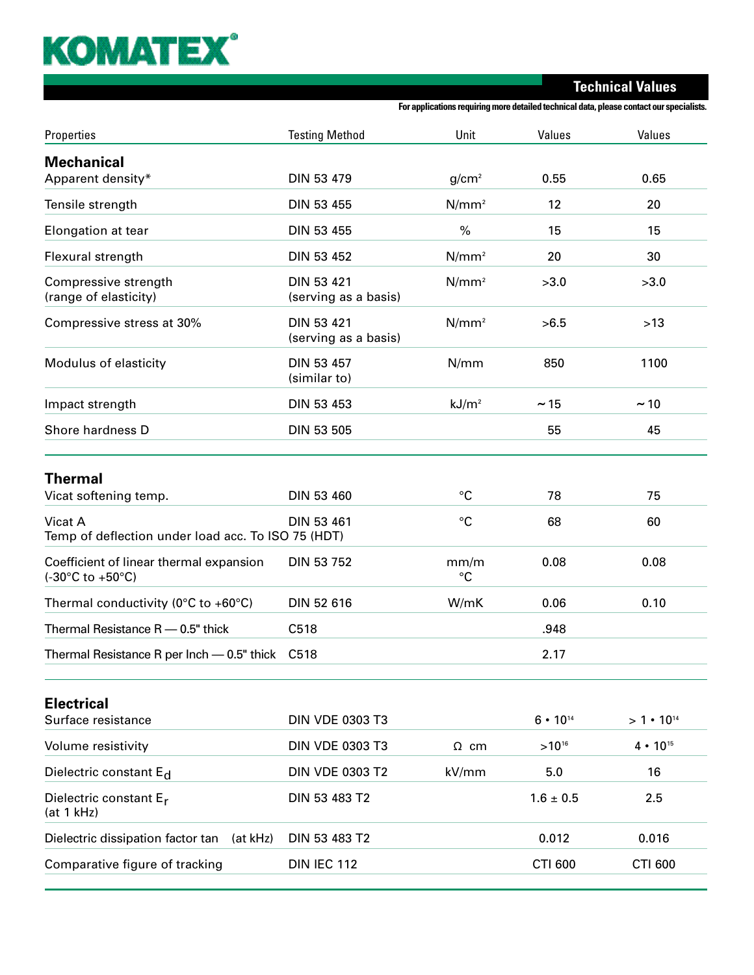## **KOMATEX®**

**Technical Values**

**For applications requiring more detailed technical data, please contact our specialists.**

| Properties                                                                           | <b>Testing Method</b>              | Unit              | Values               | Values             |
|--------------------------------------------------------------------------------------|------------------------------------|-------------------|----------------------|--------------------|
| <b>Mechanical</b>                                                                    |                                    |                   |                      |                    |
| Apparent density*                                                                    | DIN 53 479                         | g/cm <sup>2</sup> | 0.55                 | 0.65               |
| Tensile strength                                                                     | DIN 53 455                         | $N/mm^2$          | 12                   | 20                 |
| Elongation at tear                                                                   | <b>DIN 53 455</b>                  | $\%$              | 15                   | 15                 |
| Flexural strength                                                                    | DIN 53 452                         | $N/mm^2$          | 20                   | 30                 |
| Compressive strength<br>(range of elasticity)                                        | DIN 53 421<br>(serving as a basis) | $N/mm^2$          | >3.0                 | >3.0               |
| Compressive stress at 30%                                                            | DIN 53 421<br>(serving as a basis) | $N/mm^2$          | >6.5                 | $>13$              |
| Modulus of elasticity                                                                | DIN 53 457<br>(similar to)         | N/mm              | 850                  | 1100               |
| Impact strength                                                                      | DIN 53 453                         | kJ/m <sup>2</sup> | ~15                  | ~10                |
| Shore hardness D                                                                     | <b>DIN 53 505</b>                  |                   | 55                   | 45                 |
| Thermal                                                                              |                                    |                   |                      |                    |
| Vicat softening temp.                                                                | <b>DIN 53 460</b>                  | °C                | 78                   | 75                 |
| Vicat A<br>Temp of deflection under load acc. To ISO 75 (HDT)                        | DIN 53 461                         | $^{\circ}C$       | 68                   | 60                 |
| Coefficient of linear thermal expansion<br>$(-30^{\circ}C \text{ to } +50^{\circ}C)$ | DIN 53 752                         | mm/m<br>°C        | 0.08                 | 0.08               |
| Thermal conductivity ( $0^{\circ}$ C to +60 $^{\circ}$ C)                            | DIN 52 616                         | W/mK              | 0.06                 | 0.10               |
| Thermal Resistance R - 0.5" thick                                                    | C518                               |                   | .948                 |                    |
| Thermal Resistance R per Inch - 0.5" thick                                           | C518                               |                   | 2.17                 |                    |
| <b>Electrical</b>                                                                    |                                    |                   |                      |                    |
| Surface resistance                                                                   | <b>DIN VDE 0303 T3</b>             |                   | 6 • 10 <sup>14</sup> | $>1 \cdot 10^{14}$ |
| Volume resistivity                                                                   | <b>DIN VDE 0303 T3</b>             | $\Omega$ cm       | $>10^{16}$           | $4 \cdot 10^{15}$  |
| Dielectric constant E <sub>d</sub>                                                   | <b>DIN VDE 0303 T2</b>             | kV/mm             | 5.0                  | 16                 |
| Dielectric constant E <sub>r</sub><br>(at 1 kHz)                                     | DIN 53 483 T2                      |                   | $1.6 \pm 0.5$        | 2.5                |
| Dielectric dissipation factor tan<br>(at kHz)                                        | DIN 53 483 T2                      |                   | 0.012                | 0.016              |
| Comparative figure of tracking                                                       | <b>DIN IEC 112</b>                 |                   | CTI 600              | CTI 600            |
|                                                                                      |                                    |                   |                      |                    |